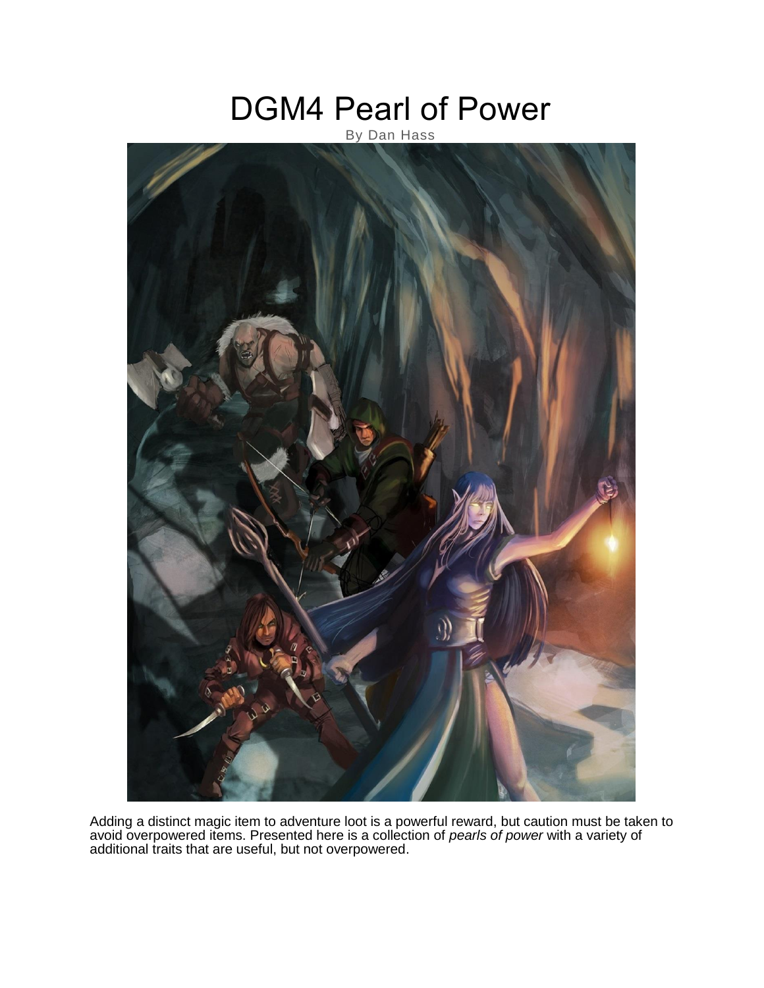# DGM4 Pearl of Power

### By Dan Hass



Adding a distinct magic item to adventure loot is a powerful reward, but caution must be taken to avoid overpowered items. Presented here is a collection of *pearls of power* with a variety of additional traits that are useful, but not overpowered.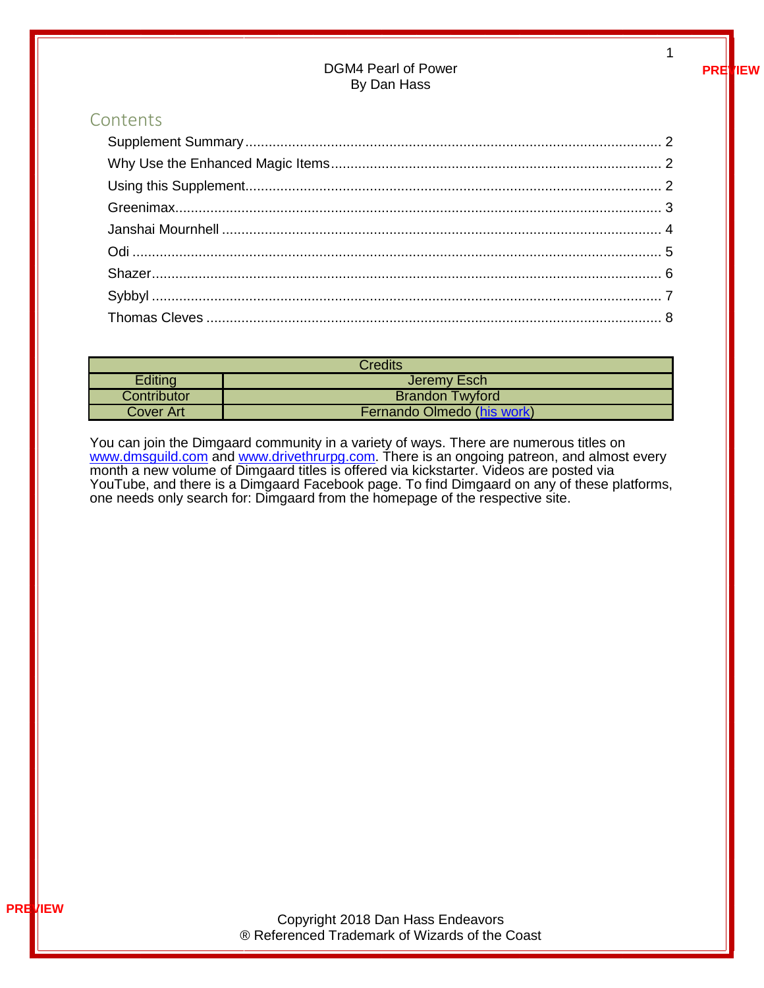#### DGM4 Pearl of Power By Dan Hass

### Contents

| <b>Credits</b> |                            |
|----------------|----------------------------|
| Editing        | Jeremy Esch                |
| Contributor    | <b>Brandon Twyford</b>     |
| Cover Art      | Fernando Olmedo (his work) |

You can join the Dimgaard community in a variety of ways. There are numerous titles on [www.dmsguild.com](http://www.dmsguild.com/) and [www.drivethrurpg.com.](http://www.drivethrurpg.com/) There is an ongoing patreon, and almost every month a new volume of Dimgaard titles is offered via kickstarter. Videos are posted via YouTube, and there is a Dimgaard Facebook page. To find Dimgaard on any of these platforms, one needs only search for: Dimgaard from the homepage of the respective site.

**PREVIEW**

1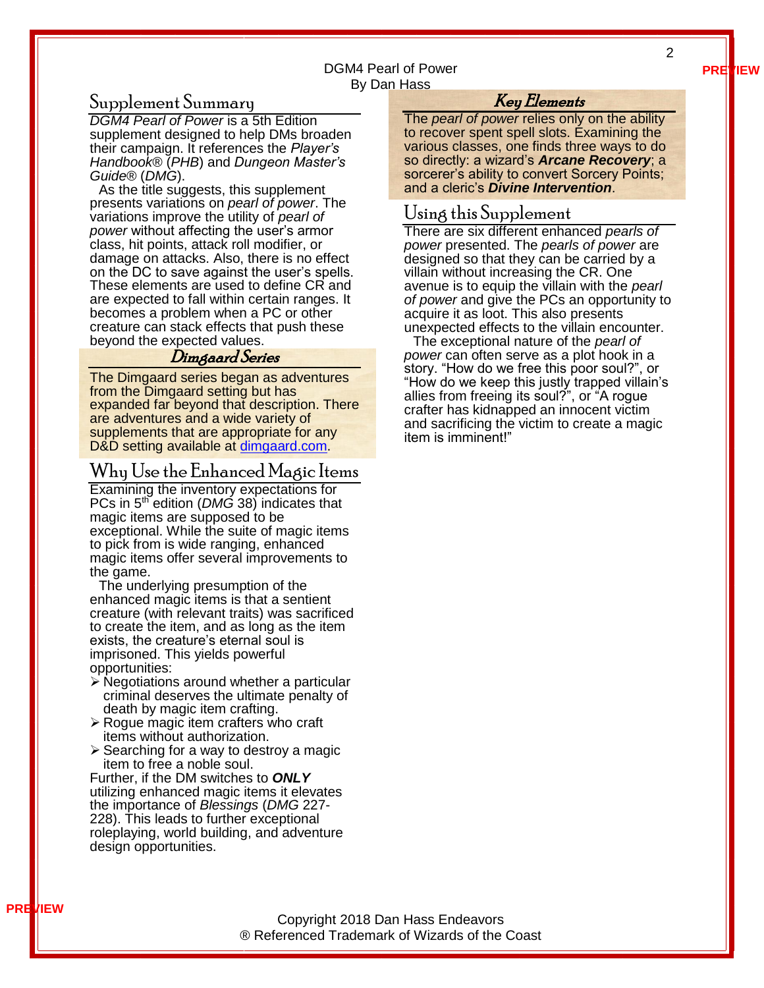#### DGM4 Pearl of Power By Dan Hass

#### <span id="page-2-0"></span>Supplement Summary

*DGM4 Pearl of Power* is a 5th Edition supplement designed to help DMs broaden their campaign. It references the *Player's Handbook®* (*PHB*) and *Dungeon Master's Guide®* (*DMG*).

As the title suggests, this supplement presents variations on *pearl of power*. The variations improve the utility of *pearl of power* without affecting the user's armor class, hit points, attack roll modifier, or damage on attacks. Also, there is no effect on the DC to save against the user's spells. These elements are used to define CR and are expected to fall within certain ranges. It becomes a problem when a PC or other creature can stack effects that push these beyond the expected values.

#### Dimgaard Series

The Dimgaard series began as adventures from the Dimgaard setting but has expanded far beyond that description. There are adventures and a wide variety of supplements that are appropriate for any D&D setting available at [dimgaard.com.](http://dimgaard.com/)

#### <span id="page-2-1"></span>Why Use the Enhanced Magic Items

Examining the inventory expectations for PCs in 5th edition (*DMG* 38) indicates that magic items are supposed to be exceptional. While the suite of magic items to pick from is wide ranging, enhanced magic items offer several improvements to the game.

The underlying presumption of the enhanced magic items is that a sentient creature (with relevant traits) was sacrificed to create the item, and as long as the item exists, the creature's eternal soul is imprisoned. This yields powerful opportunities:

- ➢ Negotiations around whether a particular criminal deserves the ultimate penalty of death by magic item crafting.
- ➢ Rogue magic item crafters who craft items without authorization.
- ➢ Searching for a way to destroy a magic item to free a noble soul.

Further, if the DM switches to *ONLY* utilizing enhanced magic items it elevates the importance of *Blessings* (*DMG* 227- 228). This leads to further exceptional roleplaying, world building, and adventure design opportunities.

#### Key Elements

The *pearl of power* relies only on the ability to recover spent spell slots. Examining the various classes, one finds three ways to do so directly: a wizard's *Arcane Recovery*; a sorcerer's ability to convert Sorcery Points; and a cleric's *Divine Intervention*.

#### <span id="page-2-2"></span>Using this Supplement

There are six different enhanced *pearls of power* presented. The *pearls of power* are designed so that they can be carried by a villain without increasing the CR. One avenue is to equip the villain with the *pearl of power* and give the PCs an opportunity to acquire it as loot. This also presents unexpected effects to the villain encounter.

The exceptional nature of the *pearl of power* can often serve as a plot hook in a story. "How do we free this poor soul?", or "How do we keep this justly trapped villain's allies from freeing its soul?", or "A rogue crafter has kidnapped an innocent victim and sacrificing the victim to create a magic item is imminent!"

**PREVIEW**

2

Copyright 2018 Dan Hass Endeavors ® Referenced Trademark of Wizards of the Coast

#### **PREVIEW**